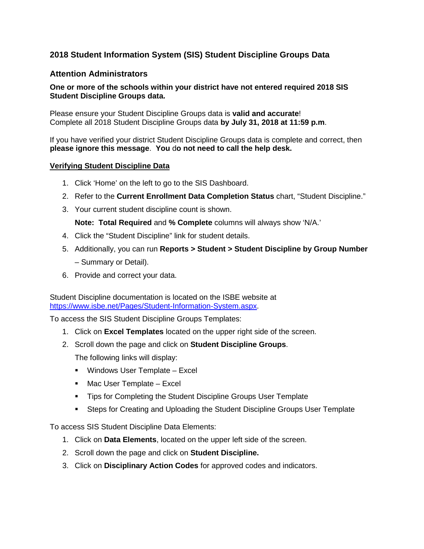## **2018 Student Information System (SIS) Student Discipline Groups Data**

## **Attention Administrators**

## **One or more of the schools within your district have not entered required 2018 SIS Student Discipline Groups data.**

Please ensure your Student Discipline Groups data is **valid and accurate**! Complete all 2018 Student Discipline Groups data **by July 31, 2018 at 11:59 p.m**.

If you have verified your district Student Discipline Groups data is complete and correct, then **please ignore this message**. **You** d**o not need to call the help desk.**

## **Verifying Student Discipline Data**

- 1. Click 'Home' on the left to go to the SIS Dashboard.
- 2. Refer to the **Current Enrollment Data Completion Status** chart, "Student Discipline."
- 3. Your current student discipline count is shown.

**Note: Total Required** and **% Complete** columns will always show 'N/A.'

- 4. Click the "Student Discipline" link for student details.
- 5. Additionally, you can run **Reports > Student > Student Discipline by Group Number** – Summary or Detail).
- 6. Provide and correct your data.

Student Discipline documentation is located on the ISBE website at [https://www.isbe.net/Pages/Student-Information-System.aspx.](https://www.isbe.net/Pages/Student-Information-System.aspx)

To access the SIS Student Discipline Groups Templates:

- 1. Click on **Excel Templates** located on the upper right side of the screen.
- 2. Scroll down the page and click on **Student Discipline Groups**.

The following links will display:

- **Windows User Template Excel**
- Mac User Template Excel
- **Tips for Completing the Student Discipline Groups User Template**
- Steps for Creating and Uploading the Student Discipline Groups User Template

To access SIS Student Discipline Data Elements:

- 1. Click on **Data Elements**, located on the upper left side of the screen.
- 2. Scroll down the page and click on **Student Discipline.**
- 3. Click on **Disciplinary Action Codes** for approved codes and indicators.